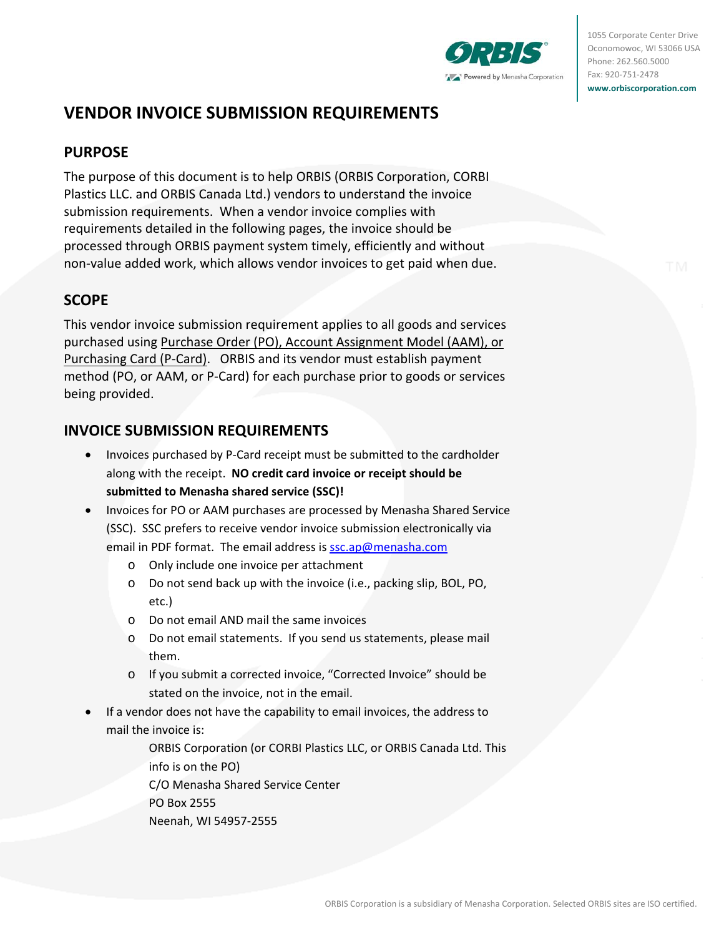

1055 Corporate Center Drive Oconomowoc, WI 53066 USA Phone: 262.560.5000 Fax: 920‐751‐2478 **www.orbiscorporation.com**

# **VENDOR INVOICE SUBMISSION REQUIREMENTS**

### **PURPOSE**

The purpose of this document is to help ORBIS (ORBIS Corporation, CORBI Plastics LLC. and ORBIS Canada Ltd.) vendors to understand the invoice submission requirements. When a vendor invoice complies with requirements detailed in the following pages, the invoice should be processed through ORBIS payment system timely, efficiently and without non‐value added work, which allows vendor invoices to get paid when due.

## **SCOPE**

This vendor invoice submission requirement applies to all goods and services purchased using Purchase Order (PO), Account Assignment Model (AAM), or Purchasing Card (P‐Card). ORBIS and its vendor must establish payment method (PO, or AAM, or P‐Card) for each purchase prior to goods or services being provided.

# **INVOICE SUBMISSION REQUIREMENTS**

- Invoices purchased by P-Card receipt must be submitted to the cardholder along with the receipt. **NO credit card invoice or receipt should be submitted to Menasha shared service (SSC)!**
- Invoices for PO or AAM purchases are processed by Menasha Shared Service (SSC). SSC prefers to receive vendor invoice submission electronically via email in PDF format. The email address is ssc.ap@menasha.com
	- o Only include one invoice per attachment
	- o Do not send back up with the invoice (i.e., packing slip, BOL, PO, etc.)
	- o Do not email AND mail the same invoices
	- o Do not email statements. If you send us statements, please mail them.
	- o If you submit a corrected invoice, "Corrected Invoice" should be stated on the invoice, not in the email.
- If a vendor does not have the capability to email invoices, the address to mail the invoice is:

ORBIS Corporation (or CORBI Plastics LLC, or ORBIS Canada Ltd. This info is on the PO) C/O Menasha Shared Service Center PO Box 2555 Neenah, WI 54957‐2555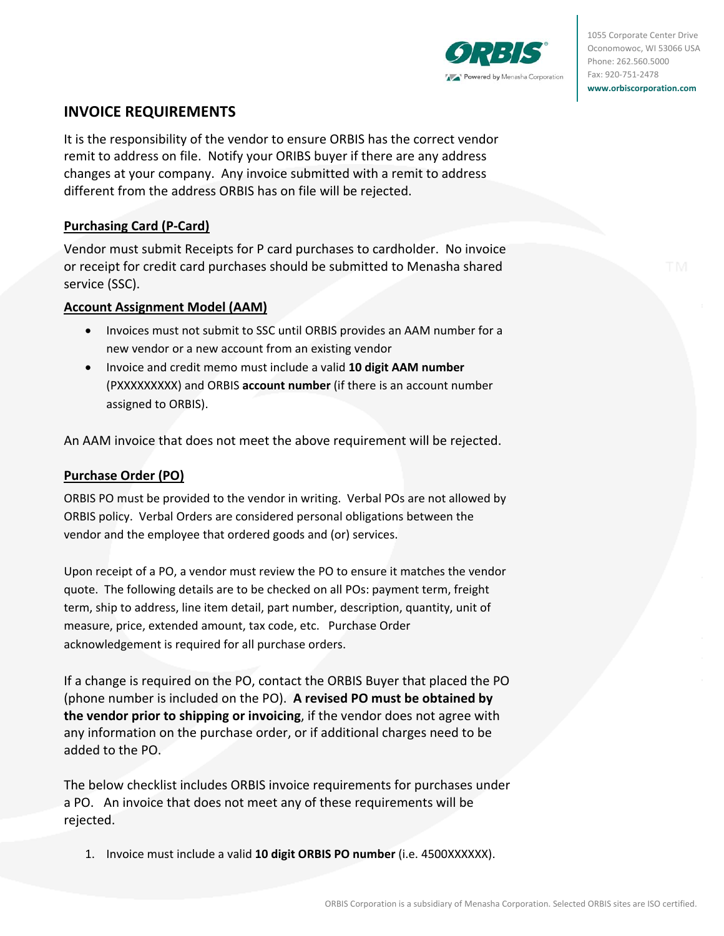

1055 Corporate Center Drive Oconomowoc, WI 53066 USA Phone: 262.560.5000 Fax: 920‐751‐2478 **www.orbiscorporation.com**

### **INVOICE REQUIREMENTS**

It is the responsibility of the vendor to ensure ORBIS has the correct vendor remit to address on file. Notify your ORIBS buyer if there are any address changes at your company. Any invoice submitted with a remit to address different from the address ORBIS has on file will be rejected.

### **Purchasing Card (P‐Card)**

Vendor must submit Receipts for P card purchases to cardholder. No invoice or receipt for credit card purchases should be submitted to Menasha shared service (SSC).

#### **Account Assignment Model (AAM)**

- Invoices must not submit to SSC until ORBIS provides an AAM number for a new vendor or a new account from an existing vendor
- Invoice and credit memo must include a valid **10 digit AAM number** (PXXXXXXXXX) and ORBIS **account number** (if there is an account number assigned to ORBIS).

An AAM invoice that does not meet the above requirement will be rejected.

#### **Purchase Order (PO)**

ORBIS PO must be provided to the vendor in writing. Verbal POs are not allowed by ORBIS policy. Verbal Orders are considered personal obligations between the vendor and the employee that ordered goods and (or) services.

Upon receipt of a PO, a vendor must review the PO to ensure it matches the vendor quote. The following details are to be checked on all POs: payment term, freight term, ship to address, line item detail, part number, description, quantity, unit of measure, price, extended amount, tax code, etc. Purchase Order acknowledgement is required for all purchase orders.

If a change is required on the PO, contact the ORBIS Buyer that placed the PO (phone number is included on the PO). **A revised PO must be obtained by the vendor prior to shipping or invoicing**, if the vendor does not agree with any information on the purchase order, or if additional charges need to be added to the PO.

The below checklist includes ORBIS invoice requirements for purchases under a PO. An invoice that does not meet any of these requirements will be rejected.

1. Invoice must include a valid **10 digit ORBIS PO number** (i.e. 4500XXXXXX).